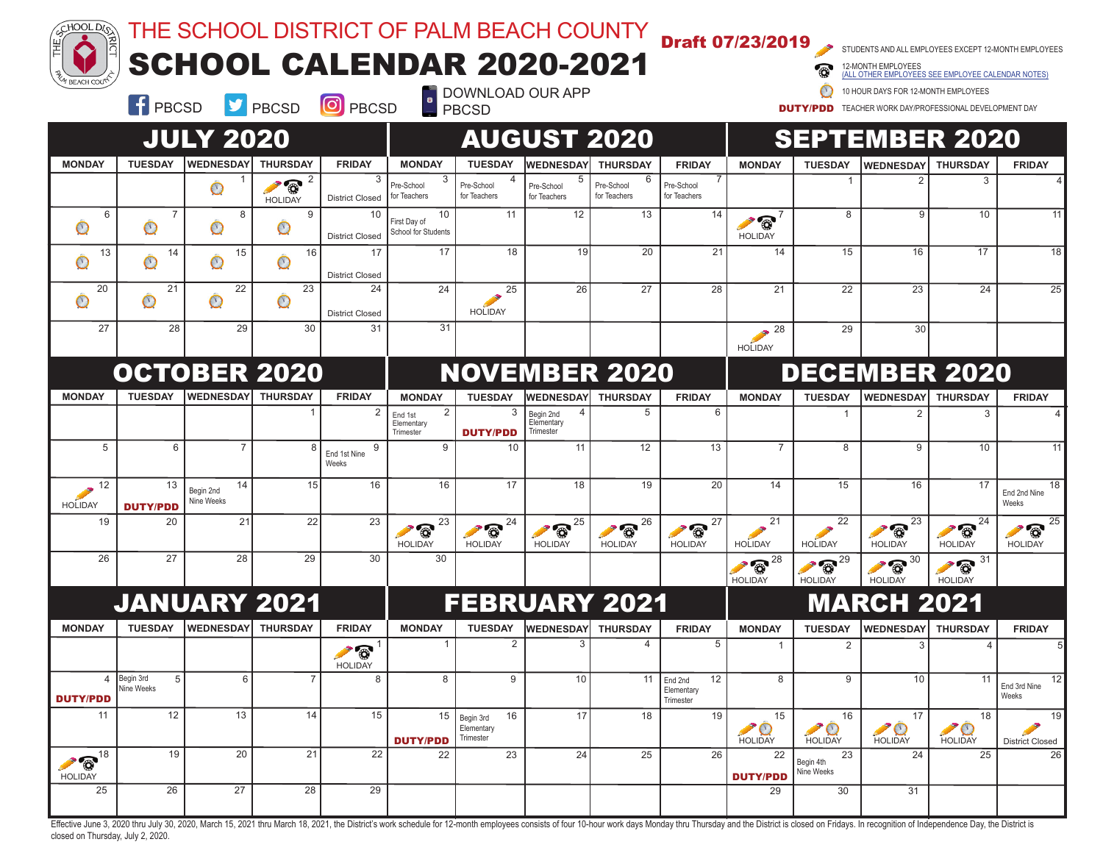| $\frac{25}{\sqrt{100L}}$<br>/ BEACH COU <sup>ל</sup>     |                                |                               | THE SCHOOL DISTRICT OF PALM BEACH COUNTY<br>SCHOOL CALENDAR 2020-2021 |                                                        | $\overline{\phantom{a}}$                             |                                            | DOWNLOAD OUR APP                     |                                   | <b>Draft 07/23/2019</b>                       |                                            |                                                    | STUDENTS AND ALL EMPLOYEES EXCEPT 12-MONTH EMPLOYEES<br>ALL OTHER EMPLOYEES SEE EMPLOYEE CALENDAR NOTES<br>10 HOUR DAYS FOR 12-MONTH EMPLOYEES |                                              |                                   |
|----------------------------------------------------------|--------------------------------|-------------------------------|-----------------------------------------------------------------------|--------------------------------------------------------|------------------------------------------------------|--------------------------------------------|--------------------------------------|-----------------------------------|-----------------------------------------------|--------------------------------------------|----------------------------------------------------|------------------------------------------------------------------------------------------------------------------------------------------------|----------------------------------------------|-----------------------------------|
|                                                          | <b>E</b> PBCSD                 | <b>JULY 2020</b>              | $\triangleright$ PBCSD                                                | <b>O</b> PBCSD                                         |                                                      | <b>PBCSD</b>                               | <b>AUGUST 2020</b>                   |                                   |                                               |                                            | <b>DUTY/PDD</b>                                    | TEACHER WORK DAY/PROFESSIONAL DEVELOPMENT DAY<br><b>SEPTEMBER 2020</b>                                                                         |                                              |                                   |
| <b>MONDAY</b>                                            | <b>TUESDAY</b>                 | <b>WEDNESDAY</b>              | <b>THURSDAY</b>                                                       | <b>FRIDAY</b>                                          | <b>MONDAY</b>                                        | <b>TUESDAY</b>                             | <b>WEDNESDAY</b>                     | <b>THURSDAY</b>                   | <b>FRIDAY</b>                                 | <b>MONDAY</b>                              | <b>TUESDAY</b>                                     | <b>WEDNESDAY</b>                                                                                                                               | <b>THURSDAY</b>                              | <b>FRIDAY</b>                     |
|                                                          |                                | $\mathbb{O}$                  | $\odot$ <sup>2</sup><br><b>HOLIDAY</b>                                | 3<br><b>District Closed</b>                            | 3<br>Pre-School<br>for Teachers                      | Pre-School<br>for Teachers                 | Pre-School<br>for Teachers           | 6<br>Pre-School<br>for Teachers   | Pre-School<br>for Teachers                    |                                            | 1                                                  |                                                                                                                                                | 3                                            |                                   |
| 6<br>$\mathbf{\circ}$                                    | $\overline{7}$<br>$\mathbb{O}$ | 8<br>$\mathbb{O}$             | 9<br>$\mathbb{O}$                                                     | 10<br><b>District Closed</b>                           | 10<br>First Day of<br>School for Students            | 11                                         | 12                                   | 13                                | 14                                            | $\circ$<br><b>HOLIDAY</b>                  | 8                                                  | 9                                                                                                                                              | 10                                           | 11                                |
| 13<br>$\mathbb O$                                        | 14<br>$\mathbf{\mathbb{O}}$    | 15<br>$\mathbb{O}$            | 16<br>$\mathbb{O}$                                                    | 17<br><b>District Closed</b>                           | 17                                                   | 18                                         | 19                                   | 20                                | 21                                            | 14                                         | 15                                                 | 16                                                                                                                                             | 17                                           | 18                                |
| 20<br>$\mathbb O$                                        | 21<br>$\mathbf{\mathcal{O}}$   | 22<br>$\mathbf{\mathbb{O}}$   | 23<br>$\mathbb{O}$                                                    | 24<br><b>District Closed</b>                           | 24                                                   | 25<br><b>HOLIDAY</b>                       | 26                                   | 27                                | 28                                            | 21                                         | 22                                                 | 23                                                                                                                                             | 24                                           | 25                                |
| 27                                                       | 28                             | 29                            | 30                                                                    | 31                                                     | 31                                                   |                                            |                                      |                                   |                                               | 28<br><b>HOLIDAY</b>                       | 29                                                 | 30                                                                                                                                             |                                              |                                   |
|                                                          |                                |                               | <b>OCTOBER 2020</b>                                                   |                                                        |                                                      |                                            |                                      | <b>NOVEMBER 2020</b>              |                                               |                                            |                                                    | <b>DECEMBER 2020</b>                                                                                                                           |                                              |                                   |
| <b>MONDAY</b>                                            | <b>TUESDAY</b>                 | <b>WEDNESDAY</b>              | <b>THURSDAY</b>                                                       | <b>FRIDAY</b>                                          | <b>MONDAY</b>                                        | <b>TUESDAY</b>                             | <b>WEDNESDAY</b>                     | <b>THURSDAY</b>                   | <b>FRIDAY</b>                                 | <b>MONDAY</b>                              | <b>TUESDAY</b>                                     | <b>WEDNESDAY</b>                                                                                                                               | <b>THURSDAY</b>                              | <b>FRIDAY</b>                     |
|                                                          |                                |                               |                                                                       | $\overline{2}$                                         | $\overline{2}$<br>End 1st<br>Elementary<br>Trimester | 3<br><b>DUTY/PDD</b>                       | Begin 2nd<br>Elementary<br>Trimester | 5                                 | 6                                             |                                            | $\overline{1}$                                     | $\mathfrak{p}$                                                                                                                                 | 3                                            |                                   |
| 5                                                        | 6                              | $\overline{7}$                |                                                                       | 9<br>End 1st Nine<br>Weeks                             | 9                                                    | 10                                         | 11                                   | 12                                | 13                                            | $\overline{7}$                             | 8                                                  | 9                                                                                                                                              | 10                                           | 11                                |
| 12<br><b>HOLIDAY</b>                                     | 13<br><b>DUTY/PDD</b>          | 14<br>Begin 2nd<br>Nine Weeks | 15                                                                    | 16                                                     | 16                                                   | 17                                         | 18                                   | 19                                | 20                                            | 14                                         | 15                                                 | 16                                                                                                                                             | 17                                           | 18<br>End 2nd Nine<br>Weeks       |
| 19                                                       | 20                             | 21                            | 22                                                                    | 23                                                     | 23<br>$\bullet$<br><b>HOLIDAY</b>                    | 24<br>$\circ$<br><b>HOLIDAY</b>            | 25<br>$\bullet$<br><b>HOLIDAY</b>    | 26<br>$\bullet$<br><b>HOLIDAY</b> | 27<br>$\bullet$<br><b>HOLIDAY</b>             | 21<br><b>HOLIDAY</b>                       | 22<br><b>HOLIDAY</b>                               | 23<br>$\bullet$<br><b>HOLIDAY</b>                                                                                                              | $\sqrt{8}$ <sup>24</sup>  <br><b>HOLIDAY</b> | 25<br>$\bullet$<br><b>HOLIDAY</b> |
| 26                                                       | 27                             | 28                            | 29                                                                    | 30                                                     | 30                                                   |                                            |                                      |                                   |                                               | $\sqrt{8}$ <sup>28</sup><br><b>HOLIDAY</b> | $\odot$ <sup>29</sup><br><b>HOLIDAY</b>            | $\sqrt{8}$ <sup>30</sup><br><b>HOLIDAY</b>                                                                                                     | $\odot$ <sup>31</sup><br><b>HOLIDAY</b>      |                                   |
|                                                          |                                |                               | <b>JANUARY 2021</b>                                                   |                                                        |                                                      |                                            |                                      | <b>FEBRUARY 2021</b>              |                                               |                                            |                                                    | <b>MARCH 2021</b>                                                                                                                              |                                              |                                   |
| <b>MONDAY</b>                                            | <b>TUESDAY</b>                 | <b>WEDNESDAY</b>              | <b>THURSDAY</b>                                                       | <b>FRIDAY</b><br>$\overline{1}$<br>O<br><b>HOLIDAY</b> | <b>MONDAY</b>                                        | <b>TUESDAY</b><br>$\overline{2}$           | <b>WEDNESDAY</b>                     | <b>THURSDAY</b><br>4              | <b>FRIDAY</b><br>5                            | <b>MONDAY</b><br>$\mathbf{1}$              | <b>TUESDAY</b><br>2                                | <b>WEDNESDAY</b>                                                                                                                               | <b>THURSDAY</b><br>$\overline{4}$            | <b>FRIDAY</b>                     |
| $\overline{4}$<br><b>DUTY/PDD</b>                        | Begin 3rd<br>5<br>Nine Weeks   | 6                             | $\overline{7}$                                                        | 8                                                      | 8                                                    | 9                                          | 10                                   |                                   | 11 $End 2nd$<br>12<br>Elementary<br>Trimester | 8                                          | 9                                                  | 10                                                                                                                                             | 11                                           | 12<br>End 3rd Nine<br>Weeks       |
| 11                                                       | 12                             | 13                            | 14                                                                    | 15                                                     | 15<br><b>DUTY/PDD</b>                                | 16<br>Begin 3rd<br>Elementary<br>Trimester | 17                                   | 18                                | 19                                            | 15<br>HOLIDAY                              | 16<br>$\rightarrow \circledcirc$<br><b>HOLIDAY</b> | 17<br><b>HOLIDAY</b>                                                                                                                           | 18<br>$\rightarrow$<br><b>HOLIDAY</b>        | 19<br><b>District Closed</b>      |
| $\bullet$ $\circledcirc$ <sup>18</sup><br><b>HOLIDAY</b> | 19                             | 20                            | 21                                                                    | 22                                                     | 22                                                   | 23                                         | 24                                   | 25                                | 26                                            | 22<br><b>DUTY/PDD</b>                      | 23<br>Begin 4th<br>Nine Weeks                      | 24                                                                                                                                             | 25                                           | 26                                |
| 25                                                       | 26                             | 27                            | 28                                                                    | 29                                                     |                                                      |                                            |                                      |                                   |                                               | 29                                         | 30                                                 | 31                                                                                                                                             |                                              |                                   |

Effective June 3, 2020 thru July 30, 2020, March 15, 2021 thru March 18, 2021, the District's work schedule for 12-month employees consists of four 10-hour work days Monday thru Thursday and the District is closed on Frida closed on Thursday, July 2, 2020.